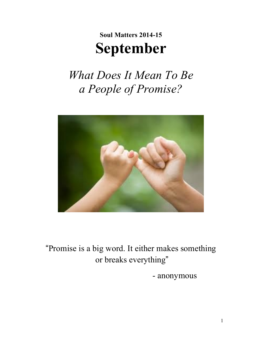# **Soul Matters 2014-15 September**

*What Does It Mean To Be a People of Promise?*



"Promise is a big word. It either makes something or breaks everything"

- anonymous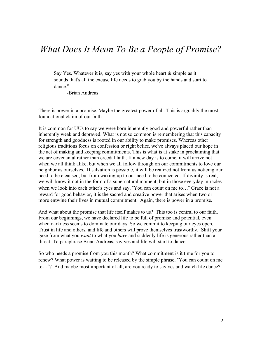### *What Does It Mean To Be a People of Promise?*

Say Yes. Whatever it is, say yes with your whole heart & simple as it sounds that's all the excuse life needs to grab you by the hands and start to dance."

-Brian Andreas

There is power in a promise. Maybe the greatest power of all. This is arguably the most foundational claim of our faith.

It is common for UUs to say we were born inherently good and powerful rather than inherently weak and depraved. What is not so common is remembering that this capacity for strength and goodness is rooted in our ability to make promises. Whereas other religious traditions focus on confession or right belief, we've always placed our hope in the act of making and keeping commitments. This is what is at stake in proclaiming that we are covenantal rather than creedal faith. If a new day is to come, it will arrive not when we all think alike, but when we all follow through on our commitments to love our neighbor as ourselves. If salvation is possible, it will be realized not from us noticing our need to be cleansed, but from waking up to our need to be connected. If divinity is real, we will know it not in the form of a supernatural moment, but in those everyday miracles when we look into each other's eyes and say, "You can count on me to…" Grace is not a reward for good behavior, it is the sacred and creative power that arises when two or more entwine their lives in mutual commitment. Again, there is power in a promise.

And what about the promise that life itself makes to us? This too is central to our faith. From our beginnings, we have declared life to be full of promise and potential, even when darkness seems to dominate our days. So we commit to keeping our eyes open. Trust in life and others, and life and others will prove themselves trustworthy. Shift your gaze from what you *want* to what you *have* and suddenly life is generous rather than a threat. To paraphrase Brian Andreas, say yes and life will start to dance.

So who needs a promise from you this month? What commitment is it time for you to renew? What power is waiting to be released by the simple phrase, "You can count on me to…"? And maybe most important of all, are you ready to say yes and watch life dance?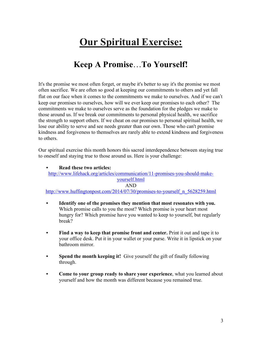## **Our Spiritual Exercise:**

### **Keep A Promise**…**To Yourself!**

It's the promise we most often forget, or maybe it's better to say it's the promise we most often sacrifice. We are often so good at keeping our commitments to others and yet fall flat on our face when it comes to the commitments we make to ourselves. And if we can't keep our promises to ourselves, how will we ever keep our promises to each other? The commitments we make to ourselves serve as the foundation for the pledges we make to those around us. If we break our commitments to personal physical health, we sacrifice the strength to support others. If we cheat on our promises to personal spiritual health, we lose our ability to serve and see needs greater than our own. Those who can't promise kindness and forgiveness to themselves are rarely able to extend kindness and forgiveness to others.

Our spiritual exercise this month honors this sacred interdependence between staying true to oneself and staying true to those around us. Here is your challenge:

**• Read these two articles:**  http://www.lifehack.org/articles/communication/11-promises-you-should-makeyourself.html AND http://www.huffingtonpost.com/2014/07/30/promises-to-yourself\_n\_5628259.html

- **• Identify one of the promises they mention that most resonates with you.** Which promise calls to you the most? Which promise is your heart most hungry for? Which promise have you wanted to keep to yourself, but regularly break?
- **• Find a way to keep that promise front and center.** Print it out and tape it to your office desk. Put it in your wallet or your purse. Write it in lipstick on your bathroom mirror.
- **• Spend the month keeping it!** Give yourself the gift of finally following through.
- **• Come to your group ready to share your experience**, what you learned about yourself and how the month was different because you remained true.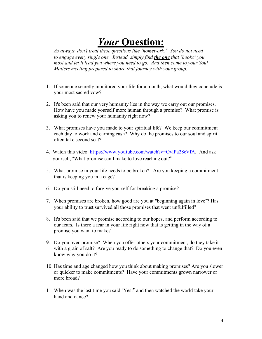## *Your* **Question:**

*As always, don*'*t treat these questions like "homework." You do not need to engage every single one. Instead, simply find the one that "hooks" you most and let it lead you where you need to go. And then come to your Soul Matters meeting prepared to share that journey with your group.*

- 1. If someone secretly monitored your life for a month, what would they conclude is your most sacred vow?
- 2. It's been said that our very humanity lies in the way we carry out our promises. How have you made yourself more human through a promise? What promise is asking you to renew your humanity right now?
- 3. What promises have you made to your spiritual life? We keep our commitment each day to work and earning cash? Why do the promises to our soul and spirit often take second seat?
- 4. Watch this video: https://www.youtube.com/watch?v=OvlPa28cVfA. And ask yourself, "What promise can I make to love reaching out?"
- 5. What promise in your life needs to be broken? Are you keeping a commitment that is keeping you in a cage?
- 6. Do you still need to forgive yourself for breaking a promise?
- 7. When promises are broken, how good are you at "beginning again in love"? Has your ability to trust survived all those promises that went unfulfilled?
- 8. It's been said that we promise according to our hopes, and perform according to our fears. Is there a fear in your life right now that is getting in the way of a promise you want to make?
- 9. Do you over-promise? When you offer others your commitment, do they take it with a grain of salt? Are you ready to do something to change that? Do you even know why you do it?
- 10. Has time and age changed how you think about making promises? Are you slower or quicker to make commitments? Have your commitments grown narrower or more broad?
- 11. When was the last time you said "Yes!" and then watched the world take your hand and dance?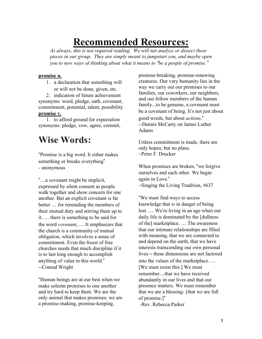## **Recommended Resources:**

*As always, this is not required reading. We will not analyze or dissect these pieces in our group. They are simply meant to jumpstart you, and maybe open you to new ways of thinking about what it means to* "*be a people of promise.*"

#### **promise n.**

1. a declaration that something will or will not be done, given, etc.

2. indication of future achievement synonyms: word, pledge, oath, covenant, commitment, potential, talent, possibility **promise v.**

1. to afford ground for expectation synonyms: pledge, vow, agree, commit,

### **Wise Words:**

"Promise is a big word. It either makes something or breaks everything" - anonymous

"…a covenant might be implicit, expressed by silent consent as people walk together and show concern for one another. But an explicit covenant is far better … for reminding the members of their mutual duty and stirring them up to it. … there is something to be said for the word *covenant*, … It emphasizes that the church is a community of mutual obligation, which involves a sense of commitment. Even the freest of free churches needs that much discipline if it is to last long enough to accomplish anything of value in this world." --Conrad Wright

"Human beings are at our best when we make solemn promises to one another and try hard to keep them. We are the only animal that makes promises: we are a promise-making, promise-keeping,

promise-breaking, promise-renewing creatures. Our very humanity lies in the way we carry out our promises to our families, our coworkers, our neighbors, and our fellow members of the human family...to be genuine, a covenant must be a covenant of being. It's not just about good words, but about *actions*." --Dennis McCarty on James Luther Adams

Unless commitment is made, there are only hopes; but no plans. ~Peter F. Drucker

When promises are broken, "we forgive ourselves and each other. We begin again in Love."  $\sim$ Singing the Living Tradition, #637

"We must find ways to access knowledge that is in danger of being lost. … We're living in an age when our daily life is dominated by the [dullness of the] marketplace. … The awareness that our intimate relationships are filled with meaning, that we are connected to and depend on the earth, that we have interests transcending our own personal lives – these dimensions are not factored into the values of the marketplace. … [We must resist this.] We must remember…that we have received abundantly in our lives and that our presence matters. We must remember that we are a blessing- [that we are full of promise.]"

-Rev. Rebecca Parker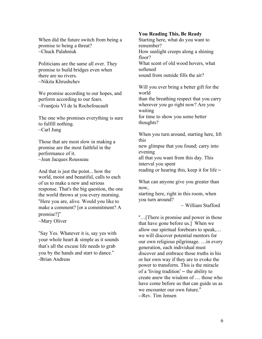When did the future switch from being a promise to being a threat? ~Chuck Palahniuk

Politicians are the same all over. They promise to build bridges even when there are no rivers. ~Nikita Khrushchev

We promise according to our hopes, and perform according to our fears. ~François VI de la Rochefoucault

The one who promises everything is sure to fulfill nothing.  $\sim$ Carl Jung

Those that are most slow in making a promise are the most faithful in the performance of it. ~Jean Jacques Rousseau

And that is just the point... how the world, moist and beautiful, calls to each of us to make a new and serious response. That's the big question, the one the world throws at you every morning. "Here you are, alive. Would you like to make a comment? for a commitment? A promise?]"

~Mary Oliver

"Say Yes. Whatever it is, say yes with your whole heart & simple as it sounds that's all the excuse life needs to grab you by the hands and start to dance." -Brian Andreas

#### **You Reading This, Be Ready**

Starting here, what do you want to remember? How sunlight creeps along a shining floor? What scent of old wood hovers, what softened sound from outside fills the air?

Will you ever bring a better gift for the world than the breathing respect that you carry wherever you go right now? Are you waiting for time to show you some better thoughts?

When you turn around, starting here, lift this

new glimpse that you found; carry into evening

all that you want from this day. This interval you spent

reading or hearing this, keep it for life –

What can anyone give you greater than now,

starting here, right in this room, when you turn around?

 $\sim$  William Stafford

"…[There is promise and power in those that have gone before us.] When we allow our spiritual forebears to speak,… we will discover potential mentors for our own religious pilgrimage. …in every generation, each individual must discover and embrace those truths in his or her own way if they are to evoke the power to transform. This is the miracle of a ʻliving tradition' – the ability to create anew the wisdom of … those who have come before us that can guide us as we encounter our own future." --Rev. Tim Jensen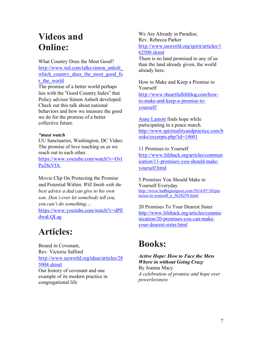### **Videos and Online:**

What Country Does the Most Good? http://www.ted.com/talks/simon\_anholt\_ which country does the most good for r the world

The promise of a better world perhaps lies with the "Good Country Index" that Policy advisor Simon Anholt developed. Check out this talk about national behaviors and how we measure the good we do for the promise of a better collective future.

#### *\*must watch*

UU Sanctuaries, Washington, DC Video: The promise of love reaching us as we reach out to each other.

https://www.youtube.com/watch?v=Ovl Pa28cVfA

Movie Clip On Protecting the Promise and Potential Within: *Will Smith with the best advice a dad can give to his own son. Don`t ever let somebody tell you, you can`t do something…* https://www.youtube.com/watch?v=dPE dwaLQLag

### **Articles:**

Bound in Covenant, Rev. Victoria Safford http://www.uuworld.org/ideas/articles/28 5904.shtml Our history of covenant and one example of its modern practice in congregational life

We Are Already in Paradise, Rev. Rebecca Parker http://www.uuworld.org/spirit/articles/1 62500.shtml

There is no land promised to any of us than the land already given, the world already here.

How to Make and Keep a Promise to Yourself http://www.theartfullifeblog.com/howto-make-and-keep-a-promise-toyourself/

Anne Lamott finds hope while participating in a peace march. http://www.spiritualityandpractice.com/b ooks/excerpts.php?id=14601

11 Promises to Yourself http://www.lifehack.org/articles/commun ication/11-promises-you-should-makeyourself.html

5 Promises You Should Make to Yourself Everyday http://www.huffingtonpost.com/2014/07/30/pro mises-to-yourself n 5628259.html

20 Promises To Your Dearest Sister http://www.lifehack.org/articles/commu nication/20-promises-you-can-makeyour-dearest-sister.html

### **Books:**

*Active Hope: How to Face the Mess Where in without Going Crazy* By Joanna Macy *A celebration of promise and hope over powerlessness*